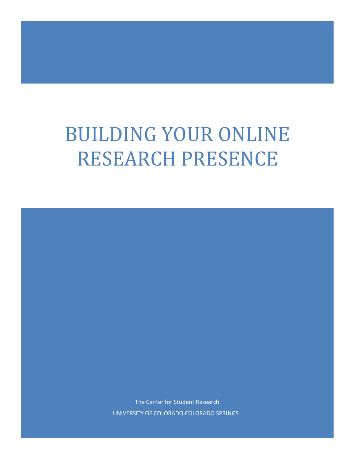# BUILDING YOUR ONLINE RESEARCH PRESENCE

The Center for Student Research UNIVERSITY OF COLORADO COLORADO SPRINGS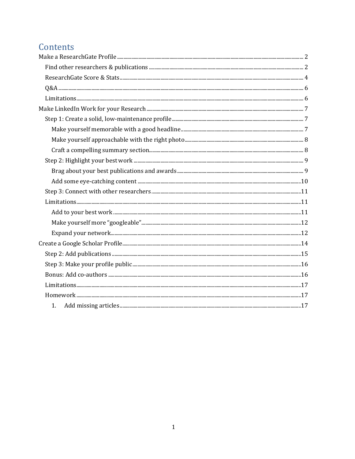# Contents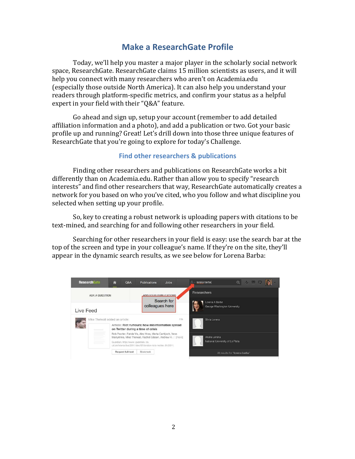## **Make a ResearchGate Profile**

<span id="page-2-0"></span>Today, we'll help you master a major player in the scholarly social network space, ResearchGate. ResearchGate claims 15 million scientists as users, and it will help you connect with many researchers who aren't on Academia.edu (especially those outside North America). It can also help you understand your readers through platform-specific metrics, and confirm your status as a helpful expert in your field with their "Q&A" feature.

Go ahead and sign up, setup your account (remember to add detailed affiliation information and a photo), and add a publication or two. Got your basic profile up and running? Great! Let's drill down into those three unique features of ResearchGate that you're going to explore for today's Challenge.

#### **Find other researchers & publications**

<span id="page-2-1"></span>Finding other researchers and publications on ResearchGate works a bit differently than on Academia.edu. Rather than allow you to specify "research interests" and find other researchers that way, ResearchGate automatically creates a network for you based on who you've cited, who you follow and what discipline you selected when setting up your profile.

So, key to creating a robust network is uploading papers with citations to be text-mined, and searching for and following other researchers in your field.

Searching for other researchers in your field is easy: use the search bar at the top of the screen and type in your colleague's name. If they're on the site, they'll appear in the dynamic search results, as we see below for Lorena Barba:

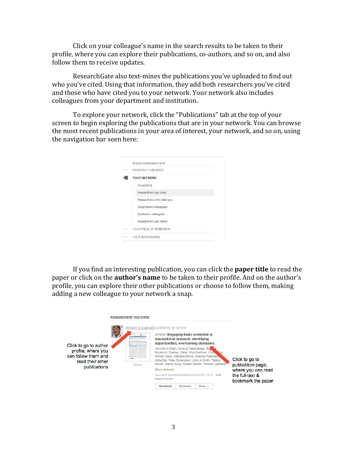Click on your colleague's name in the search results to be taken to their profile, where you can explore their publications, co-authors, and so on, and also follow them to receive updates.

ResearchGate also text-mines the publications you've uploaded to find out who you've cited. Using that information, they add both researchers you've cited and those who have cited you to your network. Your network also includes colleagues from your department and institution.

To explore your network, click the "Publications" tab at the top of your screen to begin exploring the publications that are in your network. You can browse the most recent publications in your area of interest, your network, and so on, using the navigation bar seen here:

| Browse publications from  |
|---------------------------|
| RECENTLY PUBLISHED        |
| YOUR NETWORK              |
| Co-authors                |
| Researchers you cited     |
| Researchers who cited you |
| Department colleagues     |
| Institution colleagues    |
| Researchers you follow    |
| YOUR FIELD OF RESEARCH    |
| YOUR BOOKMARKS            |

If you find an interesting publication, you can click the **paper title** to read the paper or click on the **author's name** to be taken to their profile. And on the author's profile, you can explore their other publications or choose to follow them, making adding a new colleague to your network a snap.

| Click to go to author<br>profile, where you<br>can follow them and<br>read their other<br>publications | <b>RESEARCHERS YOU CITED</b><br>pains front a before a transferred come<br>and calenteries, monitoring story is<br>Source | Richard A Galbraith published an article:<br>Article: Engaging basic scientists in<br>translational research: identifying<br>opportunities, overcoming obstacles.<br>Jennifer A Hobin, Anne M Deschamps, Rid<br>[Show abstract]<br><b>Impact Factor</b> |          | Bockman, Stanley Cohen, Paul Dechow, Char<br>William Galey, Mariana Morris, Sharma Prabhakay<br>Usha Raj, Peter Rubenstein, John A Smith, Patrick<br>Stover, Nancy Sung, William Talman, Richard Galbraith<br>Journal of Translational Medicine 04/2012; 10:72. - 3.46 | Click to go to<br>publication page,<br>where you can read<br>the full-text & |
|--------------------------------------------------------------------------------------------------------|---------------------------------------------------------------------------------------------------------------------------|---------------------------------------------------------------------------------------------------------------------------------------------------------------------------------------------------------------------------------------------------------|----------|------------------------------------------------------------------------------------------------------------------------------------------------------------------------------------------------------------------------------------------------------------------------|------------------------------------------------------------------------------|
|                                                                                                        |                                                                                                                           |                                                                                                                                                                                                                                                         |          |                                                                                                                                                                                                                                                                        | bookmark the paper                                                           |
|                                                                                                        |                                                                                                                           | Download                                                                                                                                                                                                                                                | Bookmark | Share $-$                                                                                                                                                                                                                                                              |                                                                              |
|                                                                                                        |                                                                                                                           |                                                                                                                                                                                                                                                         |          |                                                                                                                                                                                                                                                                        |                                                                              |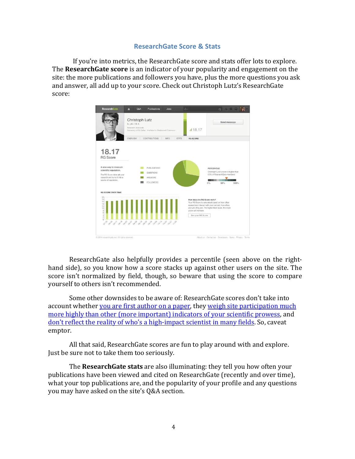#### **ResearchGate Score & Stats**

<span id="page-4-0"></span>If you're into metrics, the ResearchGate score and stats offer lots to explore. The **ResearchGate score** is an indicator of your popularity and engagement on the site: the more publications and followers you have, plus the more questions you ask and answer, all add up to your score. Check out Christoph Lutz's ResearchGate score:



ResearchGate also helpfully provides a percentile (seen above on the righthand side), so you know how a score stacks up against other users on the site. The score isn't normalized by field, though, so beware that using the score to compare yourself to others isn't recommended.

Some other downsides to be aware of: ResearchGate scores don't take into [account whether you are first author on a paper, they weigh site participation much](https://www.researchgate.net/post/Whats_this_RG_Score_nonsense) [more highly than other \(more important\) indicators of your scientific prowess, and](https://www.researchgate.net/post/Whats_this_RG_Score_nonsense) [don't reflect the reality of who's a high-impact scientist in many fields.](https://www.researchgate.net/post/ResearchGate_RG_SCORE_inclusion_in_the_personal_Curriculum_Vitae_CV) So, caveat emptor.

All that said, ResearchGate scores are fun to play around with and explore. Just be sure not to take them too seriously.

The **ResearchGate stats** are also illuminating: they tell you how often your publications have been viewed and cited on ResearchGate (recently and over time), what your top publications are, and the popularity of your profile and any questions you may have asked on the site's Q&A section.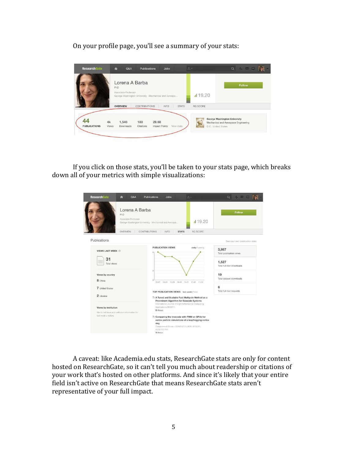On your profile page, you'll see a summary of your stats:

| <b>ResearchGate</b>       | ♠           | Q&A                                   | <b>Publications</b>  | Jobs                                                  |              | $R -$ |                     | $\alpha$<br>▲ 図□                                                            |
|---------------------------|-------------|---------------------------------------|----------------------|-------------------------------------------------------|--------------|-------|---------------------|-----------------------------------------------------------------------------|
|                           | <b>PhD</b>  | Lorena A Barba<br>Associate Professor |                      | George Washington University · Mechanical and Aerospa |              |       | 19.20               | <b>Follow</b>                                                               |
|                           |             | <b>OVERVIEW</b>                       | <b>CONTRIBUTIONS</b> | <b>INFO</b>                                           | <b>STATS</b> |       | <b>RG SCORE</b>     |                                                                             |
| 44<br><b>PUBLICATIONS</b> | 4k<br>Views | 1,546<br>Downloads                    | 180<br>Citations     | 29.68<br><b>Impact Points</b>                         | View stats   |       | D.C., United States | <b>George Washington University</b><br>Mechanical and Aerospace Engineering |

If you click on those stats, you'll be taken to your stats page, which breaks down all of your metrics with simple visualizations:



A caveat: like Academia.edu stats, ResearchGate stats are only for content hosted on ResearchGate, so it can't tell you much about readership or citations of your work that's hosted on other platforms. And since it's likely that your entire field isn't active on ResearchGate that means ResearchGate stats aren't representative of your full impact.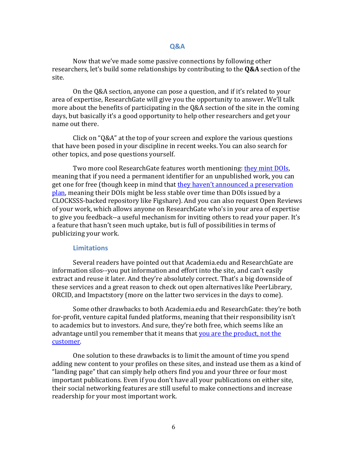#### **Q&A**

<span id="page-6-0"></span>Now that we've made some passive connections by following other researchers, let's build some relationships by contributing to the **Q&A** section of the site.

On the Q&A section, anyone can pose a question, and if it's related to your area of expertise, ResearchGate will give you the opportunity to answer. We'll talk more about the benefits of participating in the Q&A section of the site in the coming days, but basically it's a good opportunity to help other researchers and get your name out there.

Click on "Q&A" at the top of your screen and explore the various questions that have been posed in your discipline in recent weeks. You can also search for other topics, and pose questions yourself.

Two more cool ResearchGate features worth mentioning: [they mint DOIs,](http://blog.impactstory.org/?p=1104) meaning that if you need a permanent identifier for an unpublished work, you can [get one for free \(though keep in mind that they haven't announced a preservation](http://blog.impactstory.org/researchgate-doi/) [plan, meaning their DOIs might be less stable over time than DOIs issued by a](http://blog.impactstory.org/researchgate-doi/) CLOCKSSS-backed repository like Figshare). And you can also request Open Reviews of your work, which allows anyone on ResearchGate who's in your area of expertise to give you feedback--a useful mechanism for inviting others to read your paper. It's a feature that hasn't seen much uptake, but is full of possibilities in terms of publicizing your work.

#### **Limitations**

<span id="page-6-1"></span>Several readers have pointed out that Academia.edu and ResearchGate are information silos--you put information and effort into the site, and can't easily extract and reuse it later. And they're absolutely correct. That's a big downside of these services and a great reason to check out open alternatives like PeerLibrary, ORCID, and Impactstory (more on the latter two services in the days to come).

Some other drawbacks to both Academia.edu and ResearchGate: they're both for-profit, venture capital funded platforms, meaning that their responsibility isn't to academics but to investors. And sure, they're both free, which seems like an [advantage until you remember that it means that you are the product, not the](http://ukwebfocus.wordpress.com/2013/02/06/why-im-evaluating-researchgate/) [customer.](http://ukwebfocus.wordpress.com/2013/02/06/why-im-evaluating-researchgate/)

One solution to these drawbacks is to limit the amount of time you spend adding new content to your profiles on these sites, and instead use them as a kind of "landing page" that can simply help others find you and your three or four most important publications. Even if you don't have all your publications on either site, their social networking features are still useful to make connections and increase readership for your most important work.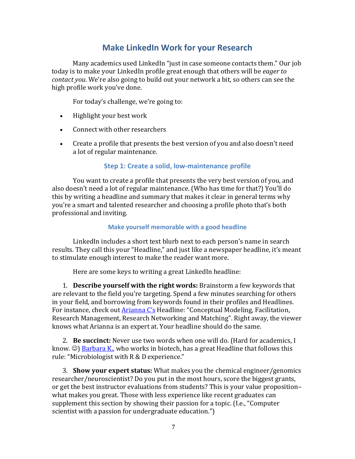# **Make LinkedIn Work for your Research**

<span id="page-7-0"></span>Many academics used LinkedIn "just in case someone contacts them." Our job today is to make your LinkedIn profile great enough that others will be *eager to contact you*. We're also going to build out your network a bit, so others can see the high profile work you've done.

For today's challenge, we're going to:

- Highlight your best work
- Connect with other researchers
- Create a profile that presents the best version of you and also doesn't need a lot of regular maintenance.

#### **Step 1: Create a solid, low-maintenance profile**

<span id="page-7-1"></span>You want to create a profile that presents the very best version of you, and also doesn't need a lot of regular maintenance. (Who has time for that?) You'll do this by writing a headline and summary that makes it clear in general terms why you're a smart and talented researcher and choosing a profile photo that's both professional and inviting.

#### **Make yourself memorable with a good headline**

<span id="page-7-2"></span>LinkedIn includes a short text blurb next to each person's name in search results. They call this your "Headline," and just like a newspaper headline, it's meant to stimulate enough interest to make the reader want more.

Here are some keys to writing a great LinkedIn headline:

1. **Describe yourself with the right words:** Brainstorm a few keywords that are relevant to the field you're targeting. Spend a few minutes searching for others in your field, and borrowing from keywords found in their profiles and Headlines. For instance, check out [Arianna C's](https://www.linkedin.com/profile/view?id=7046270) Headline: "Conceptual Modeling, Facilitation, Research Management, Research Networking and Matching". Right away, the viewer knows what Arianna is an expert at. Your headline should do the same.

2. **Be succinct:** Never use two words when one will do. (Hard for academics, I know.  $\circledcirc$ ) [Barbara K.,](https://www.linkedin.com/in/barbkamicker) who works in biotech, has a great Headline that follows this rule: "Microbiologist with R & D experience."

3. **Show your expert status:** What makes you the chemical engineer/genomics researcher/neuroscientist? Do you put in the most hours, score the biggest grants, or get the best instructor evaluations from students? This is your value proposition– what makes you great. Those with less experience like recent graduates can supplement this section by showing their passion for a topic. (I.e., "Computer scientist with a passion for undergraduate education.")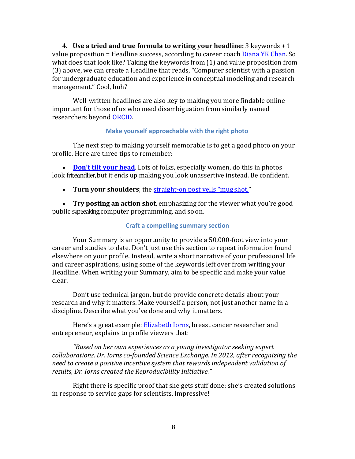4. **Use a tried and true formula to writing your headline:** 3 keywords + 1 value proposition = Headline success, according to career coach **Diana YK Chan**. So what does that look like? Taking the keywords from (1) and value proposition from (3) above, we can create a Headline that reads, "Computer scientist with a passion for undergraduate education and experience in conceptual modeling and research management." Cool, huh?

Well-written headlines are also key to making you more findable online– important for those of us who need disambiguation from similarly named researchers beyond [ORCID.](http://blog.impactstory.org/ten-things-you-need-to-know-about-orcid-right-now/)

#### **Make yourself approachable with the right photo**

<span id="page-8-0"></span>The next step to making yourself memorable is to get a good photo on your profile. Here are three tips to remember:

• **[Don't tilt your head](http://www.youtern.com/thesavvyintern/index.php/2013/10/16/your-linkedin-photo-sucks-here-are-5-reasons-why/)**. Lots of folks, especially women, do this in photos look friteondlier, but it ends up making you look unassertive instead. Be confident.

• **Turn your shoulders**; the [straight-on post yells "mug](http://www.dummies.com/how-to/content/a-good-profile-photo-makes-a-winning-linkedin-prof.html) shot."

<span id="page-8-1"></span>• **Try posting an action shot**, emphasizing for the viewer what you're good public sapteaking computer programming, and so on.

#### **Craft a compelling summary section**

Your Summary is an opportunity to provide a 50,000-foot view into your career and studies to date. Don't just use this section to repeat information found elsewhere on your profile. Instead, write a short narrative of your professional life and career aspirations, using some of the keywords left over from writing your Headline. When writing your Summary, aim to be specific and make your value clear.

Don't use technical jargon, but do provide concrete details about your research and why it matters. Make yourself a person, not just another name in a discipline. Describe what you've done and why it matters.

Here's a great example: [Elizabeth Iorns,](https://www.linkedin.com/profile/view?trk=contacts-contacts-list-contact_name-0&id=122265487) breast cancer researcher and entrepreneur, explains to profile viewers that:

*"Based on her own experiences as a young investigator seeking expert collaborations, Dr. Iorns co-founded Science Exchange. In 2012, after recognizing the need to create a positive incentive system that rewards independent validation of results, Dr. Iorns created the Reproducibility Initiative."*

Right there is specific proof that she gets stuff done: she's created solutions in response to service gaps for scientists. Impressive!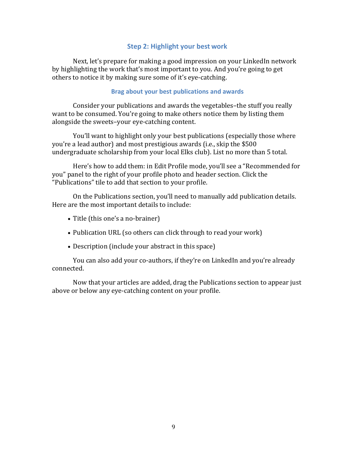#### **Step 2: Highlight your best work**

<span id="page-9-0"></span>Next, let's prepare for making a good impression on your LinkedIn network by highlighting the work that's most important to you. And you're going to get others to notice it by making sure some of it's eye-catching.

#### **Brag about your best publications and awards**

<span id="page-9-1"></span>Consider your publications and awards the vegetables–the stuff you really want to be consumed. You're going to make others notice them by listing them alongside the sweets–your eye-catching content.

You'll want to highlight only your best publications (especially those where you're a lead author) and most prestigious awards (i.e., skip the \$500 undergraduate scholarship from your local Elks club). List no more than 5 total.

Here's how to add them: in Edit Profile mode, you'll see a "Recommended for you" panel to the right of your profile photo and header section. Click the "Publications" tile to add that section to your profile.

On the Publications section, you'll need to manually add publication details. Here are the most important details to include:

- Title (this one's a no-brainer)
- Publication URL (so others can click through to read your work)
- Description (include your abstract in this space)

You can also add your co-authors, if they're on LinkedIn and you're already connected.

Now that your articles are added, drag the Publications section to appear just above or below any eye-catching content on your profile.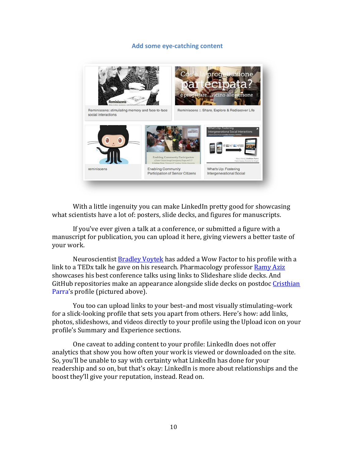#### **Add some eye-catching content**

<span id="page-10-0"></span>

With a little ingenuity you can make LinkedIn pretty good for showcasing what scientists have a lot of: posters, slide decks, and figures for manuscripts.

If you've ever given a talk at a conference, or submitted a figure with a manuscript for publication, you can upload it here, giving viewers a better taste of your work.

Neuroscientis[t Bradley Voytek](https://www.linkedin.com/profile/view?trk=contacts-contacts-list-contact_name-0&id=119895096) has added a Wow Factor to his profile with a link to a TEDx talk he gave on his research. Pharmacology professor [Ramy Aziz](https://www.linkedin.com/profile/view?id=19415908) showcases his best conference talks using links to Slideshare slide decks. And [GitHub repositories make an appearance alongside slide decks on postdoc Cristhian](https://www.linkedin.com/profile/view?trk=contacts-contacts-list-contact_name-0&id=54645790) [Parra's profile \(pictured above\).](https://www.linkedin.com/profile/view?trk=contacts-contacts-list-contact_name-0&id=54645790)

You too can upload links to your best–and most visually stimulating–work for a slick-looking profile that sets you apart from others. Here's how: add links, photos, slideshows, and videos directly to your profile using the Upload icon on your profile's Summary and Experience sections.

One caveat to adding content to your profile: LinkedIn does not offer analytics that show you how often your work is viewed or downloaded on the site. So, you'll be unable to say with certainty what LinkedIn has done for your readership and so on, but that's okay: LinkedIn is more about relationships and the boost they'll give your reputation, instead. Read on.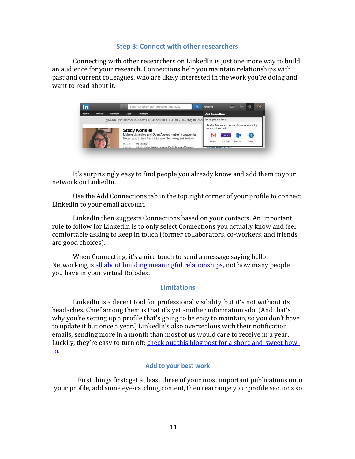#### **Step 3: Connect with other researchers**

<span id="page-11-0"></span>Connecting with other researchers on LinkedIn is just one more way to build an audience for your research. Connections help you maintain relationships with past and current colleagues, who are likely interested in the work you're doing and want to read about it.



It's surprisingly easy to find people you already know and add them toyour network on LinkedIn.

Use the Add Connections tab in the top right corner of your profile to connect LinkedIn to your email account.

LinkedIn then suggests Connections based on your contacts. An important rule to follow for LinkedIn is to only select Connections you actually know and feel comfortable asking to keep in touch (former collaborators, co-workers, and friends are good choices).

When Connecting, it's a nice touch to send a message saying hello. Networking i[s all about building meaningful relationships,](http://www.academics.com/science/networking_for_a_successful_career_in_academia_30577.html) not how many people you have in your virtual Rolodex.

#### **Limitations**

<span id="page-11-1"></span>LinkedIn is a decent tool for professional visibility, but it's not without its headaches. Chief among them is that it's yet another information silo. (And that's why you're setting up a profile that's going to be easy to maintain, so you don't have to update it but once a year.) LinkedIn's also overzealous with their notification emails, sending more in a month than most of us would care to receive in a year. [Luckily, they're easy to turn off; check out this blog post for a short-and-sweet how](http://blog.impactstory.org/linkedin-networking/)[to.](http://blog.impactstory.org/linkedin-networking/)

#### **Add to your best work**

<span id="page-11-2"></span>First things first: get at least three of your most important publications onto your profile, add some eye-catching content, then rearrange your profile sections so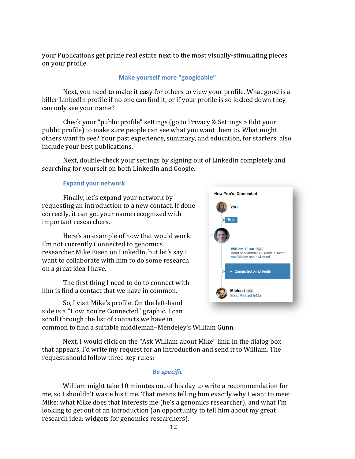<span id="page-12-0"></span>your Publications get prime real estate next to the most visually-stimulating pieces on your profile.

#### **Make yourself more "googleable"**

Next, you need to make it easy for others to view your profile. What good is a killer LinkedIn profile if no one can find it, or if your profile is so locked down they can only see your name?

Check your "public profile" settings (go to Privacy & Settings > Edit your public profile) to make sure people can see what you want them to. What might others want to see? Your past experience, summary, and education, for starters; also include your best publications.

Next, double-check your settings by signing out of LinkedIn completely and searching for yourself on both LinkedIn and Google.

#### **Expand your network**

<span id="page-12-1"></span>Finally, let's expand your network by requesting an introduction to a new contact. If done correctly, it can get your name recognized with important researchers.

Here's an example of how that would work: I'm not currently Connected to genomics researcher Mike Eisen on LinkedIn, but let's say I want to collaborate with him to do some research on a great idea I have.

The first thing I need to do to connect with him is find a contact that we have in common.

So, I visit Mike's profile. On the left-hand side is a "How You're Connected" graphic. I can scroll through the list of contacts we have in



common to find a suitable middleman–Mendeley's William Gunn.

Next, I would click on the "Ask William about Mike" link. In the dialog box that appears, I'd write my request for an introduction and send it to William. The request should follow three key rules:

#### *Be specific*

William might take 10 minutes out of his day to write a recommendation for me, so I shouldn't waste his time. That means telling him exactly why I want to meet Mike: what Mike does that interests me (he's a genomics researcher), and what I'm looking to get out of an introduction (an opportunity to tell him about my great research idea: widgets for genomics researchers).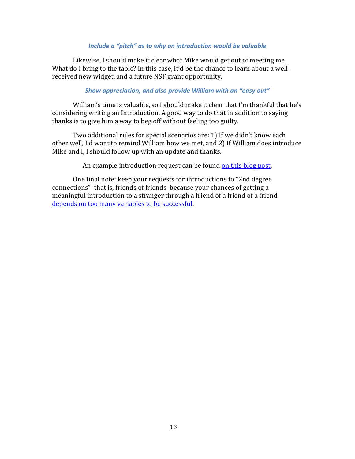#### *Include a "pitch" as to why an introduction would be valuable*

Likewise, I should make it clear what Mike would get out of meeting me. What do I bring to the table? In this case, it'd be the chance to learn about a wellreceived new widget, and a future NSF grant opportunity.

#### *Show appreciation, and also provide William with an "easy out"*

William's time is valuable, so I should make it clear that I'm thankful that he's considering writing an Introduction. A good way to do that in addition to saying thanks is to give him a way to beg off without feeling too guilty.

Two additional rules for special scenarios are: 1) If we didn't know each other well, I'd want to remind William how we met, and 2) If William does introduce Mike and I, I should follow up with an update and thanks.

An example introduction request can be found [on this blog post.](http://blog.impactstory.org/linkedin-networking/)

One final note: keep your requests for introductions to "2nd degree connections"–that is, friends of friends–because your chances of getting a meaningful introduction to a stranger through a friend of a friend of a friend [depends on too many variables to be successful.](http://www.forbes.com/sites/nextavenue/2013/07/16/how-to-ask-for-a-linkedin-introduction-and-get-one/)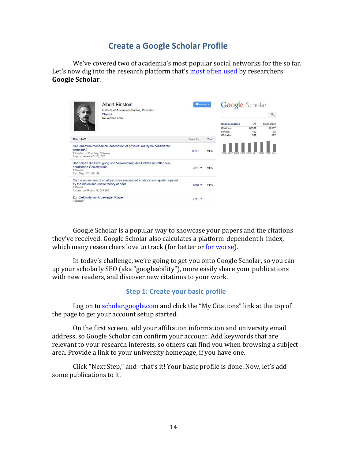## **Create a Google Scholar Profile**

<span id="page-14-0"></span>We've covered two of academia's most popular social networks for the so far. Let's now dig into the research platform that's [most often used](http://www.nature.com/news/online-collaboration-scientists-and-the-social-network-1.15711) by researchers: **Google Scholar**.

|                                                                              | <b>Albert Einstein</b><br>Institute of Advanced Studies, Princeton<br>Physics<br>No verified email                     | Follow * |      | Google Scholar                    |                     | Q                  |
|------------------------------------------------------------------------------|------------------------------------------------------------------------------------------------------------------------|----------|------|-----------------------------------|---------------------|--------------------|
|                                                                              |                                                                                                                        |          |      | <b>Citation indices</b>           | All                 | Since 2009         |
| $1 - 20$<br>Title                                                            |                                                                                                                        | Cited by | Year | Citations<br>h-index<br>i10-index | 86302<br>103<br>362 | 28107<br>62<br>197 |
| complete?<br>A Einstein, B Podolsky, N Rosen<br>Physical review 47 (10), 777 | Can quantum-mechanical description of physical reality be considered                                                   | 12721    | 1935 | 2008<br>2009                      | 2010<br>2011        | 2012 2013          |
| heurischen Gesichtpunkt<br>A Einstein<br>Ann. Phys. 17, 132-148              | Uber einen die Erzeugung und Verwandlung des Lichtes betreffenden                                                      | $7091 *$ | 1905 |                                   |                     |                    |
| A Finstein<br>Annalen der Physik 17, 549-560                                 | On the movement of small particles suspended in stationary liquids required<br>by the molecular-kinetic theory of heat | 5622     | 1905 |                                   |                     |                    |
| Zur Elektrodynamik bewegter Körper<br>A Einstein                             |                                                                                                                        | 3761     |      |                                   |                     |                    |

Google Scholar is a popular way to showcase your papers and the citations they've received. Google Scholar also calculates a platform-dependent h-index, which many researchers love to track (for better o[r for worse\)](http://blog.impactstory.org/four-great-reasons-to-stop-caring-so-much-about-the-h-index/).

In today's challenge, we're going to get you onto Google Scholar, so you can up your scholarly SEO (aka "googleability"), more easily share your publications with new readers, and discover new citations to your work.

#### **Step 1: Create your basic profile**

Log on to [scholar.google.com](http://scholar.google.com/) and click the "My Citations" link at the top of the page to get your account setup started.

On the first screen, add your affiliation information and university email address, so Google Scholar can confirm your account. Add keywords that are relevant to your research interests, so others can find you when browsing a subject area. Provide a link to your university homepage, if you have one.

Click "Next Step," and--that's it! Your basic profile is done. Now, let's add some publications to it.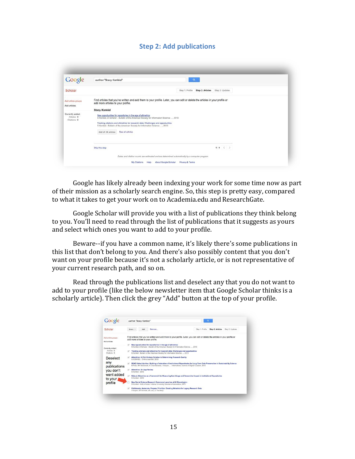#### **Step 2: Add publications**

<span id="page-15-0"></span>

| Google                                                   | author:"Stacy Konkiel"                                                                                                                                                                                                                                                                                                   | $\mathbf{Q}_i$                   |
|----------------------------------------------------------|--------------------------------------------------------------------------------------------------------------------------------------------------------------------------------------------------------------------------------------------------------------------------------------------------------------------------|----------------------------------|
| Scholar                                                  | Stop 1: Profile                                                                                                                                                                                                                                                                                                          | Step 2: Articles Step 3: Updates |
| Add article groups<br>Add articles                       | Find articles that you've written and add them to your profile. Later, you can edit or delete the articles in your profile or<br>add more articles to your profile.                                                                                                                                                      |                                  |
|                                                          | <b>Stacy Konkiel</b>                                                                                                                                                                                                                                                                                                     |                                  |
| Currently added:<br>Articles <sub>0</sub><br>Citations 0 | New opportunities for repositories in the age of altmetrics<br>S Konkiel, D Scherer - Bulletin of the American Society for Information Science , 2013<br>Tracking citations and altmetrics for research data: Challenges and opportunities<br>S Konkiel - Bulletin of the American Society for Information Science  2013 |                                  |
|                                                          | See all articles<br>Add all 19 articles                                                                                                                                                                                                                                                                                  |                                  |
|                                                          | Skip this step                                                                                                                                                                                                                                                                                                           | $1.1 \leq$                       |
|                                                          | Dates and citation counts are estimated and are determined automatically by a computer program.                                                                                                                                                                                                                          |                                  |
|                                                          | Privacy & Terms<br>My Citations<br>About Google Scholar<br>Help                                                                                                                                                                                                                                                          |                                  |

Google has likely already been indexing your work for some time now as part of their mission as a scholarly search engine. So, this step is pretty easy, compared to what it takes to get your work on to Academia.edu and ResearchGate.

Google Scholar will provide you with a list of publications they think belong to you. You'll need to read through the list of publications that it suggests as yours and select which ones you want to add to your profile.

Beware--if you have a common name, it's likely there's some publications in this list that don't belong to you. And there's also possibly content that you don't want on your profile because it's not a scholarly article, or is not representative of your current research path, and so on.

Read through the publications list and deselect any that you do not want to add to your profile (like the below newsletter item that Google Scholar thinks is a scholarly article). Then click the grey "Add" button at the top of your profile.

| Scholar                                                             | Step 1: Profile<br>Remove<br>Add.<br>Select                                                                                                                                                                                                                         | Step 2: Articles<br>Step 3: Updates |
|---------------------------------------------------------------------|---------------------------------------------------------------------------------------------------------------------------------------------------------------------------------------------------------------------------------------------------------------------|-------------------------------------|
| Add article groups<br>Add articles                                  | Find articles that you've written and add them to your profile. Later, you can edit or delete the articles in your profile or<br>add more articles to your profile.<br>New opportunities for repositories in the age of altmetrics                                  |                                     |
| Currently added:<br>Articles <sub>0</sub><br>Citations <sub>0</sub> | S Konkiel, D Scherer - Bulletin of the American Society for Information Science , 2013.<br>Tracking citations and altmetrics for research data: Challenges and opportunities<br>S Konkiel - Bulletin of the American Society for Information Science , 2013         |                                     |
| Deselect                                                            | Altmetrics: A 21st-Century Solution to Determining Research Quality<br>S KONKIEL - Online searcher, 2013                                                                                                                                                            |                                     |
| any<br>publications                                                 | SEAD Virtual Archive: Building a Federation of Institutional Repositories for Long-Term Data Preservation in Sustainability Science<br>$\overline{\mathscr{L}}$<br>B Plale, RH McDonald, K Chandrasekar, I Kouper - International Journal of Digital Curation, 2013 |                                     |
| vou don't                                                           | <b>Altmetrics: An App Review</b><br>S Konkiel - 2012                                                                                                                                                                                                                |                                     |
| want added<br>to your                                               | $\overline{\mathscr{L}}$<br>Robust Altmetrics as a Framework for Measuring Item Usage and Researcher Impact in Institutional Repositories<br>S Konkiel - 2012                                                                                                       |                                     |
| profile                                                             | New Social Science Research Commons Launches at IU Bloomington<br>S Konkiel - InULA Notes: Indiana University Librarians Association, 2013                                                                                                                          |                                     |
|                                                                     | Collaborate, Automate, Prepare, Prioritize: Creating Metadata for Legacy Research Data<br>Kouper, SR Konkiel, JA Liss, JL Hardesty                                                                                                                                  |                                     |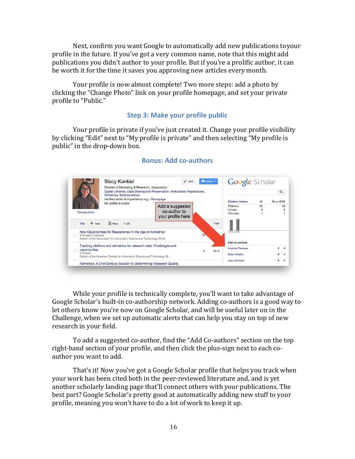Next, confirm you want Google to automatically add new publications toyour profile in the future. If you've got a very common name, note that this might add publications you didn't author to your profile. But if you're a prolific author, it can be worth it for the time it saves you approving new articles every month.

Your profile is now almost complete! Two more steps: add a photo by clicking the "Change Photo" link on your profile homepage, and set your private profile to "Public."

#### **Step 3: Make your profile public**

<span id="page-16-1"></span><span id="page-16-0"></span>Your profile is private if you've just created it. Change your profile visibility by clicking "Edit" next to "My profile is private" and then selecting "My profile is public" in the drop-down box.

|                            | Director of Marketing & Research, Impactstory<br>Altmetrics, Scientometrics                                                              | Digital Libraries, Data Sharing and Preservation, Institutional Repositories, |           | Google Scholar              |     |                   | Q        |
|----------------------------|------------------------------------------------------------------------------------------------------------------------------------------|-------------------------------------------------------------------------------|-----------|-----------------------------|-----|-------------------|----------|
|                            | Verified email at impactstory.org - Homepage                                                                                             |                                                                               |           | <b>Citation indices</b>     | All | <b>Since 2009</b> |          |
|                            | My profile is public                                                                                                                     | Add a suggested                                                               |           | Citations                   | 33  |                   | 33       |
| Change photo               |                                                                                                                                          | co-author to<br>your profile here                                             |           | h-index<br>i10-index        |     |                   |          |
| Add<br>Title               | $\equiv$ More<br>$1 - 20$                                                                                                                |                                                                               | Year      |                             |     |                   |          |
| S Konkiel, D Scherer       | New Opportunities for Repositories in the Age of Altmetrics<br>Bulletin of the Association for Information Science and Technology 39 (4) |                                                                               | 18        | 2013 2014<br>Add co-authors |     |                   |          |
|                            | Tracking citations and altmetrics for research data: Challenges and                                                                      |                                                                               |           | <b>Heather Piwowar</b>      |     | $+$               | $\times$ |
| opportunities<br>S Konkiel | Bulletin of the American Society for Information Science and Technology 39                                                               |                                                                               | 5<br>2013 | <b>Brian Westra</b>         |     | $+$               | $\times$ |
|                            | Altmetrics: A 21st-Century Solution to Determining Research Quality                                                                      |                                                                               |           | Lisa Johnston               |     | $+$               | $\times$ |

#### **Bonus: Add co-authors**

While your profile is technically complete, you'll want to take advantage of Google Scholar's built-in co-authorship network. Adding co-authors is a good way to let others know you're now on Google Scholar, and will be useful later on in the Challenge, when we set up automatic alerts that can help you stay on top of new research in your field.

To add a suggested co-author, find the "Add Co-authors" section on the top right-hand section of your profile, and then click the plus-sign next to each coauthor you want to add.

That's it! Now you've got a Google Scholar profile that helps you track when your work has been cited both in the peer-reviewed literature and, and is yet another scholarly landing page that'll connect others with your publications. The best part? Google Scholar's pretty good at automatically adding new stuff to your profile, meaning you won't have to do a lot of work to keep it up.